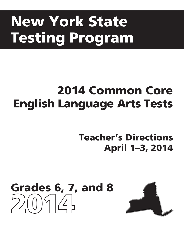# New York State Testing Program

# 2014 Common Core English Language Arts Tests

# Teacher's Directions April 1–3, 2014



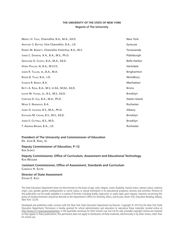#### **THE UNIVERSITY OF THE STATE OF NEW YORK Regents of The University**

| MERRYL H. TISCH, Chancellor, B.A., M.A., Ed.D.     | New York            |
|----------------------------------------------------|---------------------|
| ANTHONY S. BOTTAR, Vice Chancellor, B.A., J.D.     | Syracuse            |
| ROBERT M. BENNETT, Chancellor Emeritus, B.A., M.S. | Tonawanda           |
| JAMES C. DAWSON, A.A., B.A., M.S., Ph.D.           | Plattsburgh         |
| GERALDINE D. CHAPEY, B.A., M.A., Ed.D.             | <b>Belle Harbor</b> |
| HARRY PHILLIPS, III, B.A., M.S.F.S.                | Hartsdale           |
| JAMES R. TALLON, JR., B.A., M.A.                   | Binghamton          |
| ROGER B. TILLES, B.A., J.D.                        | Woodbury            |
| CHARLES R. BENDIT, B.A.                            | Manhattan           |
| BETTY A. ROSA, B.A., M.S. in Ed., M.Ed., Ed.D.     | <b>Bronx</b>        |
| LESTER W. YOUNG, JR., B.S., M.S., Ed.D.            | Brooklyn            |
| CHRISTINE D. CEA, B.A., M.A., Ph.D.                | Staten Island       |
| WADE S. NORWOOD, B.A.                              | Rochester           |
| JAMES O. JACKSON, B.S., M.A., Ph.D.                | Albany              |
| KATHLEEN M. CASHIN, B.S., M.S., Ed.D.              | <b>Brooklyn</b>     |
| JAMES E. COTTRELL, B.S., M.D.                      | <b>Brooklyn</b>     |
| T. ANDREW BROWN, B.A., J.D.                        | Rochester           |

## **President of The University and Commissioner of Education**

Dr. John B. King, Jr.

**Deputy Commissioner of Education, P–12** Ken Slentz

**Deputy Commissioner, Office of Curriculum, Assessment and Educational Technology** Ken Wagner

#### A**ssistant Commissioner, Office of Assessment, Standards and Curriculum** Candace H. Shyer

**Director of State Assessment** STEVEN E. KATZ

The State Education Department does not discriminate on the basis of age, color, religion, creed, disability, marital status, veteran status, national origin, race, gender, genetic predisposition or carrier status, or sexual orientation in its educational programs, services and activities. Portions of this publication can be made available in a variety of formats, including braille, large print, or audio tape, upon request. Inquiries concerning this policy of nondiscrimination should be directed to the Department's Office for Diversity, Ethics, and Access, Room 530, Education Building, Albany, New York 12234.

Developed and published under contract with the New York State Education Department by Pearson. Copyright © 2014 by the New York State Education Department. Permission is hereby granted for school administrators and educators to reproduce these materials, located online at http://www.p12.nysed.gov/assessment, in the quantities necessary for their school's use, but not for sale, provided copyright notices are retained as they appear in these publications. This permission does not apply to distribution of these materials, electronically or by other means, other than for school use.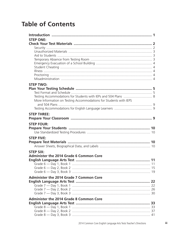# **Table of Contents**

| <b>STEP ONE:</b>                                                  |  |
|-------------------------------------------------------------------|--|
|                                                                   |  |
|                                                                   |  |
|                                                                   |  |
|                                                                   |  |
|                                                                   |  |
|                                                                   |  |
|                                                                   |  |
|                                                                   |  |
|                                                                   |  |
| <b>STEP TWO:</b>                                                  |  |
|                                                                   |  |
|                                                                   |  |
|                                                                   |  |
| More Information on Testing Accommodations for Students with IEPS |  |
|                                                                   |  |
|                                                                   |  |
| <b>STEP THREE:</b>                                                |  |
|                                                                   |  |
| <b>STEP FOUR:</b>                                                 |  |
|                                                                   |  |
|                                                                   |  |
| <b>STEP FIVE:</b>                                                 |  |
|                                                                   |  |
|                                                                   |  |
| <b>STEP SIX:</b>                                                  |  |
| <b>Administer the 2014 Grade 6 Common Core</b>                    |  |
|                                                                   |  |
|                                                                   |  |
|                                                                   |  |
|                                                                   |  |
| <b>Administer the 2014 Grade 7 Common Core</b>                    |  |
|                                                                   |  |
|                                                                   |  |
|                                                                   |  |
|                                                                   |  |
| <b>Administer the 2014 Grade 8 Common Core</b>                    |  |
|                                                                   |  |
|                                                                   |  |
|                                                                   |  |
|                                                                   |  |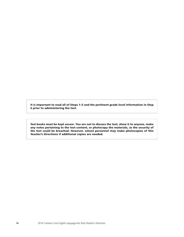It is important to read all of Steps 1–5 and the pertinent grade level information in Step 6 prior to administering the test.

Test books must be kept secure. You are not to discuss the test, show it to anyone, make any notes pertaining to the test content, or photocopy the materials, as the security of the test could be breached. However, school personnel may make photocopies of this *Teacher's Directions* if additional copies are needed.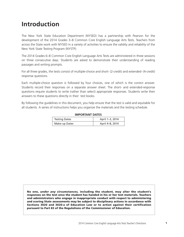# **Introduction**

The New York State Education Department (NYSED) has a partnership with Pearson for the development of the 2014 Grades 3–8 Common Core English Language Arts Tests. Teachers from across the State work with NYSED in a variety of activities to ensure the validity and reliability of the New York State Testing Program (NYSTP).

The 2014 Grades 6–8 Common Core English Language Arts Tests are administered in three sessions on three consecutive days. Students are asked to demonstrate their understanding of reading passages and writing prompts.

For all three grades, the tests consist of multiple-choice and short- (2-credit) and extended- (4-credit) response questions.

Each multiple-choice question is followed by four choices, one of which is the correct answer. Students record their responses on a separate answer sheet. The short- and extended-response questions require students to write (rather than select) appropriate responses. Students write their answers to these questions directly in their test books.

By following the guidelines in this document, you help ensure that the test is valid and equitable for all students. A series of instructions helps you organize the materials and the testing schedule.

| <b>IMPORTANT DATES</b> |                 |  |  |
|------------------------|-----------------|--|--|
| <b>Testing Dates</b>   | April 1-3, 2014 |  |  |
| Make-up Dates          | April 4-8, 2014 |  |  |

No one, *under any circumstances,* including the student, may alter the student's responses on the test once the student has handed in his or her test materials. Teachers and administrators who engage in inappropriate conduct with respect to administering and scoring State assessments may be subject to disciplinary actions in accordance with Sections 3020 and 3020-a of Education Law or to action against their certification pursuant to Part 83 of the Regulations of the Commissioner of Education.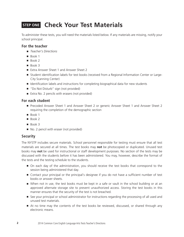# **STEP ONE Check Your Test Materials**

To administer these tests, you will need the materials listed below. If any materials are missing, notify your school principal.

# **For the teacher**

- *Teacher's Directions*
- Book 1
- Book 2
- Book 3
- Extra Answer Sheet 1 and Answer Sheet 2
- Student identification labels for test books (received from a Regional Information Center or Large-City Scanning Center)
- Identification labels and instructions for completing biographical data for new students
- "Do Not Disturb" sign (not provided)
- Extra No. 2 pencils with erasers (not provided)

### **For each student**

- Precoded Answer Sheet 1 and Answer Sheet 2 or generic Answer Sheet 1 and Answer Sheet 2 requiring the completion of the demographic section
- Book 1
- Book 2
- Book 3
- No. 2 pencil with eraser (not provided)

## **Security**

The NYSTP includes secure materials. School personnel responsible for testing must ensure that all test materials are secured at all times. The test books may **not** be photocopied or duplicated. Unused test books may **not** be used for instructional or staff development purposes. No section of the tests may be discussed with the students before it has been administered. You may, however, describe the format of the tests and the testing schedule to the students.

- On each day of the administration, you should receive the test books that correspond to the session being administered that day.
- Contact your principal or the principal's designee if you do not have a sufficient number of test books or answer sheets.
- When not in use, the test books must be kept in a safe or vault in the school building or at an approved alternate storage site to prevent unauthorized access. Storing the test books in this manner ensures that the security of the test is not breached.
- See your principal or school administrator for instructions regarding the processing of all used and unused test materials.
- At no time may the contents of the test books be reviewed, discussed, or shared through any electronic means.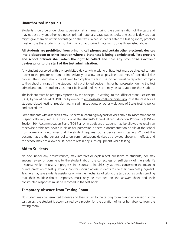# **Unauthorized Materials**

Students should be under close supervision at all times during the administration of the tests and may not use any unauthorized notes, printed materials, scrap paper, tools, or electronic devices that might give them an unfair advantage on the tests. When students enter the testing room, proctors must ensure that students do not bring any unauthorized materials such as those listed above.

**All students are prohibited from bringing cell phones and certain other electronic devices into a classroom or other location where a State test is being administered. Test proctors and school officials shall retain the right to collect and hold any prohibited electronic devices prior to the start of the test administration.**

Any student observed with any prohibited device while taking a State test must be directed to turn it over to the proctor or monitor immediately. To allow for all possible outcomes of procedural due process, the student should be allowed to complete the test. The incident must be reported promptly to the school principal. If the student had a prohibited device in his or her possession during the test administration, the student's test must be invalidated. No score may be calculated for that student.

The incident must be promptly reported by the principal, in writing, to the Office of State Assessment (OSA) by fax at 518-474-1989 or by e-mail to emscassessinfo@mail.nysed.gov, as is the case for all student-related testing irregularities, misadministrations, or other violations of State testing policy and procedures.

Some students with disabilities may use certain recording/playback devices only if this accommodation is specifically required as a provision of the student's Individualized Education Programs (IEPs) or Section 504 Accommodation Plans (504 Plans). In addition, a student may be allowed to retain an otherwise prohibited device in his or her possession if there is documentation on file at the school from a medical practitioner that the student requires such a device during testing. Without this documentation, the general policy on communications devices as provided above is in effect, and the school may not allow the student to retain any such equipment while testing.

# **Aid to Students**

No one, under any circumstances, may interpret or explain test questions to students, nor may anyone review or comment to the student about the correctness or sufficiency of the student's response while the test is in progress. In response to inquiries by students concerning the meaning or interpretation of test questions, proctors should advise students to use their own best judgment. Teachers may give students assistance only in the mechanics of taking the test, such as understanding that their multiple-choice responses must only be recorded on the answer sheet and their constructed responses must be recorded in the test book.

## **Temporary Absence from Testing Room**

No student may be permitted to leave and then return to the testing room during any session of the test unless the student is accompanied by a proctor for the duration of his or her absence from the testing room.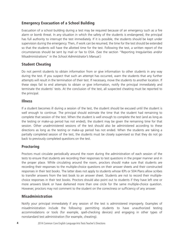# **Emergency Evacuation of a School Building**

Evacuation of a school building during a test may be required because of an emergency such as a fire alarm or bomb threat. In any situation in which the safety of the students is endangered, the principal has full authority to interrupt the test immediately. If it is possible, the students should be kept under supervision during the emergency. Then, if work can be resumed, the time for the test should be extended so that the students will have the allotted time for the test. Following the test, a written report of the circumstances should be sent by mail or fax to OSA. (See the section "Reporting Irregularities and/or Misadministrations" in the *School Administrator's Manual*.)

# **Student Cheating**

Do not permit students to obtain information from or give information to other students in any way during the test. If you suspect that such an attempt has occurred, warn the students that any further attempts will result in the termination of their test. If necessary, move the students to another location. If these steps fail to end attempts to obtain or give information, notify the principal immediately and terminate the students' tests. At the conclusion of the test, all suspected cheating must be reported to the principal.

# **Illness**

If a student becomes ill during a session of the test, the student should be excused until the student is well enough to continue. The principal should estimate the time that the student had remaining to complete that session of the test. When the student is well enough to complete the test (and as long as the testing or make-up period has not ended), the student may be given the remaining time for that session. Other unadministered sessions of the test should also be administered according to these directions as long as the testing or make-up period has not ended. When the students are taking a partially completed session of the test, the students must be closely supervised so that they do not go back to previously completed questions on the test.

# **Proctoring**

Proctors must circulate periodically around the room during the administration of each session of the tests to ensure that students are recording their responses to test questions in the proper manner and in the proper place. While circulating around the room, proctors should make sure that students are recording their responses to the multiple-choice questions on their answer sheets and their constructed responses in their test books. The latter does not apply to students whose IEPs or 504 Plans allow scribes to transfer answers from the test book to an answer sheet. Students are not to record their multiplechoice responses in their test books. Proctors should also point out to students if they have left one or more answers blank or have darkened more than one circle for the same multiple-choice question. However, proctors may not comment to the student on the correctness or sufficiency of any answer.

# **Misadministration**

Notify your principal immediately if any session of the test is administered improperly. Examples of misadministration include the following: permitting students to have unauthorized testing accommodations or tools (for example, spell-checking devices) and engaging in other types of nonstandard test administration (for example, cheating).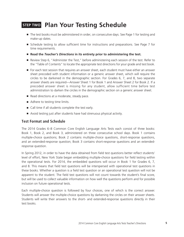# **STEP TWO Plan Your Testing Schedule**

- The test books must be administered in order, on consecutive days. See Page 1 for testing and make-up dates.
- Schedule testing to allow sufficient time for instructions and preparations. See Page 7 for time requirements.
- **Read the** *Teacher's Directions* **in its entirety prior to administering the test.**
- Review Step 6, "Administer the Test," before administering each session of the test. Refer to the "Table of Contents" to locate the appropriate test directions for your grade and test book.
- For each test session that requires an answer sheet, each student must have either an answer sheet precoded with student information or a generic answer sheet, which will require the circles to be darkened in the demographic section. For Grades 6, 7, and 8, two separate answer sheets are required—Answer Sheet 1 for Book 1 and Answer Sheet 2 for Book 2. If a precoded answer sheet is missing for any student, allow sufficient time before test administration to darken the circles in the demographic section on a generic answer sheet.
- Read directions at a moderate, steady pace.
- Adhere to testing time limits.
- Call time if all students complete the test early.
- Avoid testing just after students have had strenuous physical activity.

## **Test Format and Schedule**

The 2014 Grades 6–8 Common Core English Language Arts Tests each consist of three books: Book 1, Book 2, and Book 3, administered on three consecutive school days. Book 1 contains multiple-choice questions; Book 2 contains multiple-choice questions, short-response questions, and an extended-response question; Book 3 contains short-response questions and an extendedresponse question.

In Spring 2012, in order to have the data obtained from field test questions better reflect students' level of effort, New York State began embedding multiple-choice questions for field testing within the operational tests. For 2014, the embedded questions will occur in Book 1 for Grades 6, 7, and 8. This means that field test questions will be interspersed with operational test questions in these books. Whether a question is a field test question or an operational test question will not be apparent to the student. The field test questions will not count towards the student's final score, but will be used to collect valuable information on how well the questions perform and for possible inclusion on future operational tests.

Each multiple-choice question is followed by four choices, one of which is the correct answer. Students will answer the multiple-choice questions by darkening the circles on their answer sheets. Students will write their answers to the short- and extended-response questions directly in their test books.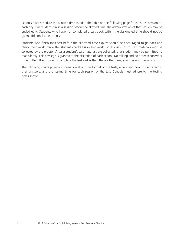Schools must schedule the allotted time listed in the table on the following page for each test session on each day. If all students finish a session before the allotted time, the administration of that session may be ended early. Students who have not completed a test book within the designated time should not be given additional time to finish.

Students who finish their test before the allocated time expires should be encouraged to go back and check their work. Once the student checks his or her work, or chooses not to, test materials may be collected by the proctor. After a student's test materials are collected, that student may be permitted to read silently. This privilege is granted at the discretion of each school. No talking and no other schoolwork is permitted. If **all** students complete the test earlier than the allotted time, you may end the session.

The following charts provide information about the format of the tests, where and how students record their answers, and the testing time for each session of the test. Schools must adhere to the testing times shown.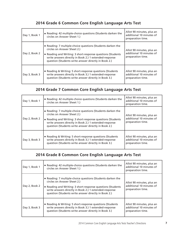# **2014 Grade 6 Common Core English Language Arts Test**

| Day 1, Book 1 | Reading: 42 multiple-choice questions (Students darken the<br>circles on Answer Sheet 1.)                                                                                                                                                                                 | Allot 90 minutes, plus an<br>additional 10 minutes of<br>preparation time. |
|---------------|---------------------------------------------------------------------------------------------------------------------------------------------------------------------------------------------------------------------------------------------------------------------------|----------------------------------------------------------------------------|
| Day 2, Book 2 | ■ Reading: 7 multiple-choice questions (Students darken the<br>circles on Answer Sheet 2.)<br>Reading and Writing: 3 short-response questions (Students<br>write answers directly in Book 2.) 1 extended-response<br>question (Students write answer directly in Book 2.) | Allot 90 minutes, plus an<br>additional 10 minutes of<br>preparation time. |
| Day 3, Book 3 | ■ Reading & Writing: 5 short-response questions (Students<br>write answers directly in Book 3.) 1 extended-response<br>question (Students write answer directly in Book 3.)                                                                                               | Allot 90 minutes, plus an<br>additional 10 minutes of<br>preparation time. |

# **2014 Grade 7 Common Core English Language Arts Test**

| Day 1, Book 1 | ■ Reading: 42 multiple-choice questions (Students darken the<br>circles on Answer Sheet 1.)                                                                                                                                                                               | Allot 90 minutes, plus an<br>additional 10 minutes of<br>preparation time. |
|---------------|---------------------------------------------------------------------------------------------------------------------------------------------------------------------------------------------------------------------------------------------------------------------------|----------------------------------------------------------------------------|
| Day 2, Book 2 | ■ Reading: 7 multiple-choice questions (Students darken the<br>circles on Answer Sheet 2.)<br>Reading and Writing: 3 short-response questions (Students<br>write answers directly in Book 2.) 1 extended-response<br>question (Students write answer directly in Book 2.) | Allot 90 minutes, plus an<br>additional 10 minutes of<br>preparation time. |
| Day 3, Book 3 | Reading & Writing: 5 short-response questions (Students<br>write answers directly in Book 3.) 1 extended-response<br>question (Students write answer directly in Book 3.)                                                                                                 | Allot 90 minutes, plus an<br>additional 10 minutes of<br>preparation time. |

# **2014 Grade 8 Common Core English Language Arts Test**

| Day 1, Book 1 | Reading: 42 multiple-choice questions (Students darken the<br>circles on Answer Sheet 1.)                                                                                                                                                                               | Allot 90 minutes, plus an<br>additional 10 minutes of<br>preparation time. |
|---------------|-------------------------------------------------------------------------------------------------------------------------------------------------------------------------------------------------------------------------------------------------------------------------|----------------------------------------------------------------------------|
| Day 2, Book 2 | Reading: 7 multiple-choice questions (Students darken the<br>circles on Answer Sheet 2.)<br>Reading and Writing: 3 short-response questions (Students<br>write answers directly in Book 2.) 1 extended-response<br>question (Students write answer directly in Book 2.) | Allot 90 minutes, plus an<br>additional 10 minutes of<br>preparation time. |
| Day 3, Book 3 | ■ Reading & Writing: 5 short-response questions (Students<br>write answers directly in Book 3.) 1 extended-response<br>question (Students write answer directly in Book 3.)                                                                                             | Allot 90 minutes, plus an<br>additional 10 minutes of<br>preparation time. |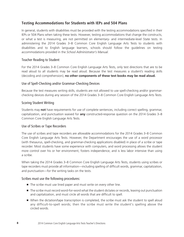# **Testing Accommodations for Students with IEPs and 504 Plans**

In general, students with disabilities must be provided with the testing accommodations specified in their IEPs or 504 Plans when taking these tests. However, testing accommodations that change the constructs, or what a test is measuring, are not permitted on elementary- and intermediate-level State tests. In administering the 2014 Grades 3–8 Common Core English Language Arts Tests to students with disabilities and to English language learners, schools should follow the guidelines on testing accommodations provided in the *School Administrator's Manual*.

#### Teacher Reading to Student

For the 2014 Grades 3–8 Common Core English Language Arts Tests, only test directions that are to be read aloud to all students may be read aloud. Because the test measures a student's reading skills (decoding and comprehension), **no other components of these test books may be read aloud.**

#### Use of Spell-Checking and/or Grammar-Checking Devices

Because the test measures writing skills, students are not allowed to use spell-checking and/or grammarchecking devices during any session of the 2014 Grades 3–8 Common Core English Language Arts Tests.

#### Scoring Student Writing

Students may **not** have requirements for use of complete sentences, including correct spelling, grammar, capitalization, and punctuation waived for **any** constructed-response question on the 2014 Grades 3–8 Common Core English Language Arts Tests.

#### Use of Scribes or Tape Recorders

The use of scribes and tape recorders are allowable accommodations for the 2014 Grades 3–8 Common Core English Language Arts Tests. However, the Department encourages the use of a word processor (with thesaurus, spell-checking, and grammar-checking applications disabled) in place of a scribe or tape recorder. Most students have some experience with computers, and word processing allows the student more control over his or her environment, fosters independence, and is less labor intensive than using a scribe.

When taking the 2014 Grades 3–8 Common Core English Language Arts Tests, students using scribes or tape recorders must provide all information—including spelling of difficult words, grammar, capitalization, and punctuation—for the writing tasks on the tests.

#### Scribes must use the following procedures:

- The scribe must use lined paper and must write on every other line.
- The scribe must record word-for-word what the student dictates or records, leaving out punctuation and capitalization, and must circle all words that are difficult to spell.
- When the dictation/tape transcription is completed, the scribe must ask the student to spell aloud any difficult-to-spell words; then the scribe must write the student's spelling above the circled words.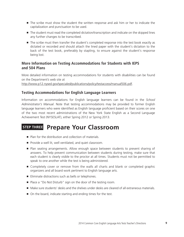- The scribe must show the student the written response and ask him or her to indicate the capitalization and punctuation to be used.
- The student must read the completed dictation/transcription and indicate on the skipped lines any further changes to be transcribed.
- The scribe must then transfer the student's completed response into the test book exactly as dictated or recorded and should attach the lined paper with the student's dictation to the back of the test book, preferably by stapling, to ensure against the student's response being lost.

## **More Information on Testing Accommodations for Students with IEPS and 504 Plans**

More detailed information on testing accommodations for students with disabilities can be found on the Department's web site at

http://www.p12.nysed.gov/specialed/publications/policy/testaccess/manual506.pdf.

# **Testing Accommodations for English Language Learners**

Information on accommodations for English language learners can be found in the *School Administrator's Manual*. Note that testing accommodations may be provided to former English language learners who were identified as English language proficient based on their scores on one of the two most recent administrations of the New York State English as a Second Language Achievement Test (NYSESLAT), either Spring 2012 or Spring 2013.

# **STEP THREE Prepare Your Classroom**

- Plan for the distribution and collection of materials.
- Provide a well lit, well ventilated, and quiet classroom.
- Plan seating arrangements. Allow enough space between students to prevent sharing of answers. To help prevent communication between students during testing, make sure that each student is clearly visible to the proctor at all times. Students must not be permitted to speak to one another while the test is being administered.
- Completely cover or remove from the walls all charts and blank or completed graphic organizers and all board work pertinent to English language arts.
- Eliminate distractions such as bells or telephones.
- Place a "Do Not Disturb" sign on the door of the testing room.
- Make sure students' desks and the shelves under desks are cleared of all extraneous materials.
- On the board, indicate starting and ending times for the test.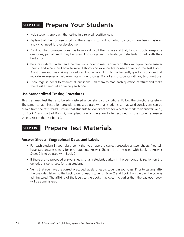# **STEP FOUR Prepare Your Students**

- Help students approach the testing in a relaxed, positive way.
- Explain that the purpose of taking these tests is to find out which concepts have been mastered and which need further development.
- Point out that some questions may be more difficult than others and that, for constructed-response questions, partial credit may be given. Encourage and motivate your students to put forth their best effort.
- Be sure students understand the directions, how to mark answers on their multiple-choice answer sheets, and where and how to record short- and extended-response answers in the test books. Assist them with test-taking procedures, but be careful not to inadvertently give hints or clues that indicate an answer or help eliminate answer choices. Do not assist students with any test questions.
- Encourage students to attempt all questions. Tell them to read each question carefully and make their best attempt at answering each one.

### **Use Standardized Testing Procedures**

This is a timed test that is to be administered under standard conditions. Follow the directions carefully. The same test administration procedures must be used with all students so that valid conclusions can be drawn from the test results. Ensure that students follow directions for where to mark their answers (e.g., for Book 1 and part of Book 2, multiple-choice answers are to be recorded on the student's answer sheets, **not** in the test books).

# **STEP FIVE Prepare Test Materials**

#### **Answer Sheets, Biographical Data, and Labels**

- For each student in your class, verify that you have the correct precoded answer sheets. You will have two answer sheets for each student. Answer Sheet 1 is to be used with Book 1. Answer Sheet 2 is to be used with Book 2.
- If there are no precoded answer sheets for any student, darken in the demographic section on the generic answer sheets for that student.
- Verify that you have the correct precoded labels for each student in your class. Prior to testing, affix the precoded labels to the back cover of each student's Book 2 and Book 3 on the day the book is administered. The affixing of the labels to the books may occur no earlier than the day each book will be administered.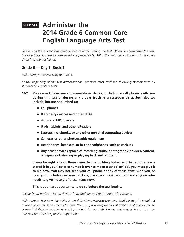# **STEP SIX Administer the 2014 Grade 6 Common Core English Language Arts Test**

*Please read these directions carefully before administering the test. When you administer the test, the directions you are to read aloud are preceded by* **SAY***. The italicized instructions to teachers should not be read aloud.*

## **Grade 6 — Day 1, Book 1**

*Make sure you have a copy of Book 1.* 

*At the beginning of the test administration, proctors must read the following statement to all students taking State tests:*

- **SAY You cannot have any communications device, including a cell phone, with you during this test or during any breaks (such as a restroom visit). Such devices include, but are not limited to:**
	- **Cell phones**
	- **Blackberry devices and other PDAs**
	- **iPods and MP3 players**
	- **iPads, tablets, and other eReaders**
	- Laptops, notebooks, or any other personal computing devices
	- **Cameras or other photographic equipment**
	- **Headphones, headsets, or in-ear headphones, such as earbuds**
	- Any other device capable of recording audio, photographic or video content, **or capable of viewing or playing back such content.**

**If you brought any of these items to the building today, and have not already stored it in your locker or turned it over to me or a school official, you must give it to me now. You may not keep your cell phone or any of these items with you, or near you, including in your pockets, backpack, desk, etc. Is there anyone who needs to give me any of these items now?**

#### **This is your last opportunity to do so before the test begins.**

#### *Repeat list of devices. Pick up devices from students and return them after testing.*

*Make sure each student has a No. 2 pencil. Students may not use pens. Students may be permitted to use highlighters when taking this test. You must, however, monitor student use of highlighters to ensure that they are not being used by students to record their responses to questions or in a way that obscures their responses to questions.*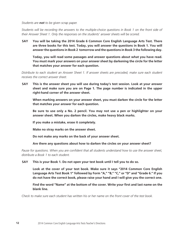*Students are not to be given scrap paper.*

*Students will be recording the answers to the multiple-choice questions in Book 1 on the front side of their Answer Sheet 1. Only the responses on the students' answer sheets will be scored.*

**SAY You will be taking the 2014 Grade 6 Common Core English Language Arts Test. There are three books for this test. Today, you will answer the questions in Book 1. You will answer the questions in Book 2 tomorrow and the questions in Book 3 the following day.**

**Today, you will read some passages and answer questions about what you have read. You must mark your answers on your answer sheet by darkening the circle for the letter that matches your answer for each question.**

*Distribute to each student an Answer Sheet 1. If answer sheets are precoded, make sure each student receives the correct answer sheet.*

**SAY This is the answer sheet you will use during today's test session. Look at your answer sheet and make sure you are on Page 1. The page number is indicated in the upper right-hand corner of the answer sheet.**

**When marking answers on your answer sheet, you must darken the circle for the letter that matches your answer for each question.**

**Be sure to use only a No. 2 pencil. You may not use a pen or highlighter on your answer sheet. When you darken the circles, make heavy black marks.**

**If you make a mistake, erase it completely.**

**Make no stray marks on the answer sheet.**

**Do not make any marks on the back of your answer sheet.**

**Are there any questions about how to darken the circles on your answer sheet?**

*Pause for questions. When you are confident that all students understand how to use the answer sheet, distribute a Book 1 to each student.* 

#### **SAY This is your Book 1. Do not open your test book until I tell you to do so.**

**Look at the cover of your test book. Make sure it says "2014 Common Core English Language Arts Test Book 1" followed by Form "A," "B," "C," or "D" and "Grade 6." If you do not have the correct book, please raise your hand and I will give you the correct one.** 

**Find the word "Name" at the bottom of the cover. Write your first and last name on the blank line.** 

*Check to make sure each student has written his or her name on the front cover of the test book.*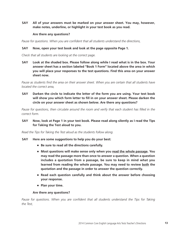**SAY All of your answers must be marked on your answer sheet. You may, however, make notes, underline, or highlight in your test book as you read.**

#### **Are there any questions?**

*Pause for questions. When you are confident that all students understand the directions,*

#### **SAY Now, open your test book and look at the page opposite Page 1.**

*Check that all students are looking at the correct page.*

**SAY Look at the shaded box. Please follow along while I read what is in the box. Your answer sheet has a section labeled "Book 1 Form" located above the area in which you will place your responses to the test questions. Find this area on your answer sheet now.**

Pause as students find the area on their answer sheet. When you are certain that all students have *located the correct area,*

**SAY Darken the circle to indicate the letter of the form you are using. Your test book will show you which form letter to fill in on your answer sheet. Please darken the circle on your answer sheet as shown below. Are there any questions?**

*Pause for questions, then circulate around the room and verify that each student has filled in the correct form.*

**SAY Now, look at Page 1 in your test book. Please read along silently as I read the Tips for Taking the Test aloud to you.**

*Read the Tips for Taking the Test aloud as the students follow along.*

- **SAY Here are some suggestions to help you do your best:**
	- **Be sure to read all the directions carefully.**
	- Most questions will make sense only when you read the whole passage. You **may read the passage more than once to answer a question. When a question includes a quotation from a passage, be sure to keep in mind what you learned from reading the whole passage. You may need to review both the quotation and the passage in order to answer the question correctly.**
	- **Read each question carefully and think about the answer before choosing your response.**
	- **Plan your time.**

#### **Are there any questions?**

Pause for questions. When you are confident that all students understand the Tips for Taking *the Test,*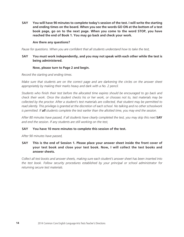**SAY You will have 90 minutes to complete today's session of the test. I will write the starting and ending times on the board. When you see the words GO ON at the bottom of a test book page, go on to the next page. When you come to the word STOP, you have reached the end of Book 1. You may go back and check your work.**

#### **Are there any questions?**

*Pause for questions. When you are confident that all students understand how to take the test,*

#### **SAY You must work independently, and you may not speak with each other while the test is being administered.**

#### **Now, please turn to Page 2 and begin.**

*Record the starting and ending times.* 

*Make sure that students are on the correct page and are darkening the circles on the answer sheet appropriately by making their marks heavy and dark with a No. 2 pencil.*

*Students who finish their test before the allocated time expires should be encouraged to go back and check their work. Once the student checks his or her work, or chooses not to, test materials may be collected by the proctor. After a student's test materials are collected, that student may be permitted to read silently. This privilege is granted at the discretion of each school. No talking and no other schoolwork is permitted. If all students complete the test earlier than the allotted time, you may end the session.*

After 80 minutes have passed, if all students have clearly completed the test, you may skip this next **SAY** *and end the session. If any students are still working on the test,*

#### **SAY You have 10 more minutes to complete this session of the test.**

*After 90 minutes have passed,*

**SAY This is the end of Session 1. Please place your answer sheet inside the front cover of your test book and close your test book. Now, I will collect the test books and answer sheets.**

*Collect all test books and answer sheets, making sure each student's answer sheet has been inserted into the test book. Follow security procedures established by your principal or school administrator for returning secure test materials.*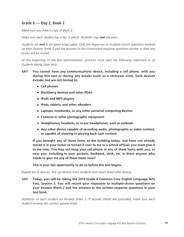# **Grade 6 — Day 2, Book 2**

*Make sure you have a copy of Book 2.* 

*Make sure each student has a No. 2 pencil. Students may not use pens.* 

*Students are not to be given scrap paper. Only the responses to multiple-choice questions marked on their Answer Sheet 2 and the answers to the constructed-response questions written in their test books will be scored.*

*At the beginning of the test administration, proctors must read the following statement to all students taking State tests:*

- **SAY You cannot have any communications device, including a cell phone, with you during this test or during any breaks (such as a restroom visit). Such devices include, but are not limited to:**
	- **Cell phones**
	- **Blackberry devices and other PDAs**
	- **iPods and MP3 players**
	- **iPads, tablets, and other eReaders**
	- Laptops, notebooks, or any other personal computing devices
	- **Cameras or other photographic equipment**
	- **Headphones, headsets, or in-ear headphones, such as earbuds**
	- Any other device capable of recording audio, photographic or video content, **or capable of viewing or playing back such content.**

**If you brought any of these items to the building today, and have not already stored it in your locker or turned it over to me or a school official, you must give it to me now. You may not keep your cell phone or any of these items with you, or near you, including in your pockets, backpack, desk, etc. Is there anyone who needs to give me any of these items now?**

**This is your last opportunity to do so before the test begins.**

*Repeat list of devices. Pick up devices from students and return them after testing.*

**SAY Today, you will be taking the 2014 Grade 6 Common Core English Language Arts Test, Session 2. You will record your responses to multiple-choice questions on your Answer Sheet 2 and the answers to the written-response questions in your test book.** 

*Distribute to each student an Answer Sheet 2. If answer sheets are precoded, make sure each student receives the correct answer sheet.*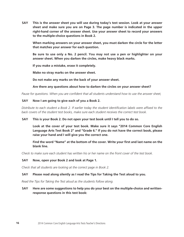**SAY This is the answer sheet you will use during today's test session. Look at your answer sheet and make sure you are on Page 3. The page number is indicated in the upper right-hand corner of the answer sheet. Use your answer sheet to record your answers to the multiple-choice questions in Book 2.** 

**When marking answers on your answer sheet, you must darken the circle for the letter that matches your answer for each question.**

**Be sure to use only a No. 2 pencil. You may not use a pen or highlighter on your answer sheet. When you darken the circles, make heavy black marks.**

**If you make a mistake, erase it completely.**

**Make no stray marks on the answer sheet.**

**Do not make any marks on the back of your answer sheet.**

**Are there any questions about how to darken the circles on your answer sheet?**

*Pause for questions. When you are confident that all students understand how to use the answer sheet,*

#### **SAY Now I am going to give each of you a Book 2.**

*Distribute to each student a Book 2. If earlier today the student identification labels were affixed to the back covers of the student test books, make sure each student receives the correct test book.*

#### **SAY This is your Book 2. Do not open your test book until I tell you to do so.**

**Look at the cover of your test book. Make sure it says "2014 Common Core English Language Arts Test Book 2" and "Grade 6." If you do not have the correct book, please raise your hand and I will give you the correct one.** 

**Find the word "Name" at the bottom of the cover. Write your first and last name on the blank line.**

*Check to make sure each student has written his or her name on the front cover of the test book.*

#### **SAY Now, open your Book 2 and look at Page 1.**

*Check that all students are looking at the correct page in Book 2.*

#### **SAY Please read along silently as I read the Tips for Taking the Test aloud to you.**

*Read the Tips for Taking the Test aloud as the students follow along.*

#### **SAY Here are some suggestions to help you do your best on the multiple-choice and writtenresponse questions in this test book:**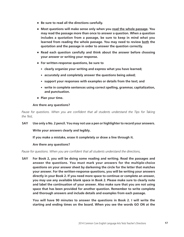- **Be sure to read all the directions carefully.**
- **Most questions will make sense only when you read the whole passage. You may read the passage more than once to answer a question. When a question includes a quotation from a passage, be sure to keep in mind what you learned from reading the whole passage. You may need to review both the quotation and the passage in order to answer the question correctly.**
- **Read each question carefully and think about the answer before choosing your answer or writing your response.**
- **For written-response questions, be sure to**
	- **clearly organize your writing and express what you have learned;**
	- accurately and completely answer the questions being asked;
	- support your responses with examples or details from the text; and
	- write in complete sentences using correct spelling, grammar, capitalization, **and punctuation.**
- **Plan your time.**

#### **Are there any questions?**

Pause for questions. When you are confident that all students understand the Tips for Taking *the Test,*

#### **SAY Use only a No. 2 pencil. You may not use a pen or highlighter to record your answers.**

**Write your answers clearly and legibly.**

**If you make a mistake, erase it completely or draw a line through it.**

#### **Are there any questions?**

*Pause for questions. When you are confident that all students understand the directions,*

**SAY For Book 2, you will be doing some reading and writing. Read the passages and answer the questions. You must mark your answers for the multiple-choice questions on your answer sheet by darkening the circle for the letter that matches your answer. For the written-response questions, you will be writing your answers directly in your Book 2. If you need more space to continue or complete an answer, you may use any available blank space in Book 2. Please make sure to clearly note and label the continuation of your answer. Also make sure that you are not using space that has been provided for another question. Remember to write complete and thorough answers and include details and examples from each passage.** 

**You will have 90 minutes to answer the questions in Book 2. I will write the starting and ending times on the board. When you see the words GO ON at the**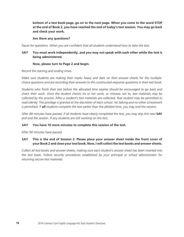**bottom of a test book page, go on to the next page. When you come to the word STOP at the end of Book 2, you have reached the end of today's test session. You may go back and check your work.**

#### **Are there any questions?**

*Pause for questions. When you are confident that all students understand how to take the test,*

**SAY You must work independently, and you may not speak with each other while the test is being administered.** 

#### **Now, please turn to Page 2 and begin.**

*Record the starting and ending times.*

*Make sure students are making their marks heavy and dark on their answer sheets for the multiplechoice questions and are recording their answers to the constructed-response questions in their test book.*

*Students who finish their test before the allocated time expires should be encouraged to go back and check their work. Once the student checks his or her work, or chooses not to, test materials may be collected by the proctor. After a student's test materials are collected, that student may be permitted to read silently. This privilege is granted at the discretion of each school. No talking and no other schoolwork is permitted. If all students complete the test earlier than the allotted time, you may end the session.*

After 80 minutes have passed, if all students have clearly completed the test, you may skip this next **SAY** *and end the session. If any students are still working on the test*,

#### **SAY You have 10 more minutes to complete this session of the test.**

*After 90 minutes have passed,*

#### **SAY This is the end of Session 2. Please place your answer sheet inside the front cover of your Book 2 and close your test book. Now, I will collect the test books and answer sheets.**

*Collect all test books and answer sheets, making sure each student's answer sheet has been inserted into the test book. Follow security procedures established by your principal or school administrator for returning secure test materials.*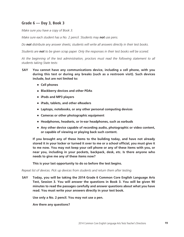# **Grade 6 — Day 3, Book 3**

*Make sure you have a copy of Book 3.* 

*Make sure each student has a No. 2 pencil. Students may not use pens.* 

*Do not distribute any answer sheets; students will write all answers directly in their test books.* 

*Students are not to be given scrap paper. Only the responses in their test books will be scored.*

*At the beginning of the test administration, proctors must read the following statement to all students taking State tests:*

- **SAY You cannot have any communications device, including a cell phone, with you during this test or during any breaks (such as a restroom visit). Such devices include, but are not limited to:**
	- **Cell phones**
	- **Blackberry devices and other PDAs**
	- **iPods and MP3 players**
	- **iPads, tablets, and other eReaders**
	- Laptops, notebooks, or any other personal computing devices
	- **Cameras or other photographic equipment**
	- **Headphones, headsets, or in-ear headphones, such as earbuds**
	- Any other device capable of recording audio, photographic or video content, **or capable of viewing or playing back such content.**

**If you brought any of these items to the building today, and have not already stored it in your locker or turned it over to me or a school official, you must give it to me now. You may not keep your cell phone or any of these items with you, or near you, including in your pockets, backpack, desk, etc. Is there anyone who needs to give me any of these items now?**

**This is your last opportunity to do so before the test begins.**

*Repeat list of devices. Pick up devices from students and return them after testing.*

**SAY Today, you will be taking the 2014 Grade 6 Common Core English Language Arts Test, Session 3. You will answer the questions in Book 3. You will be given 90 minutes to read the passages carefully and answer questions about what you have read. You must write your answers directly in your test book.** 

**Use only a No. 2 pencil. You may not use a pen.**

**Are there any questions?**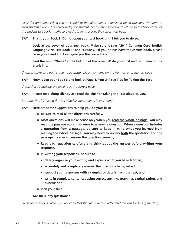*Pause for questions. When you are confident that all students understand the instructions, distribute to*  each student a Book 3. If earlier today the student identification labels were affixed to the back covers of *the student test books, make sure each student receives the correct test book.*

#### **SAY This is your Book 3. Do not open your test book until I tell you to do so.**

**Look at the cover of your test book. Make sure it says "2014 Common Core English Language Arts Test Book 3" and "Grade 6." If you do not have the correct book, please raise your hand and I will give you the correct one.** 

**Find the word "Name" at the bottom of the cover. Write your first and last name on the blank line.**

*Check to make sure each student has written his or her name on the front cover of the test book.* 

#### **SAY Now, open your Book 3 and look at Page 1. You will see Tips for Taking the Test.**

*Check that all students are looking at the correct page.* 

#### **SAY Please read along silently as I read the Tips for Taking the Test aloud to you.**

*Read the Tips for Taking the Test aloud as the students follow along.*

#### **SAY Here are some suggestions to help you do your best:**

- **Be sure to read all the directions carefully.**
- Most questions will make sense only when you read the whole passage. You may **read the passage more than once to answer a question. When a question includes a quotation from a passage, be sure to keep in mind what you learned from reading the whole passage. You may need to review both the quotation and the passage in order to answer the question correctly.**
- **Read each question carefully and think about the answer before writing your response.**
- **In writing your responses, be sure to**
	- **clearly organize your writing and express what you have learned;**
	- **accurately and completely answer the questions being asked;**
	- support your responses with examples or details from the text; and
	- write in complete sentences using correct spelling, grammar, capitalization, and **punctuation.**
- **Plan your time.**

#### **Are there any questions?**

*Pause for questions. When you are confident that all students understand the Tips for Taking the Test,*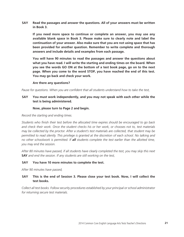**SAY Read the passages and answer the questions. All of your answers must be written in Book 3.** 

**If you need more space to continue or complete an answer, you may use any available blank space in Book 3. Please make sure to clearly note and label the continuation of your answer. Also make sure that you are not using space that has been provided for another question. Remember to write complete and thorough answers and include details and examples from each passage.**

**You will have 90 minutes to read the passages and answer the questions about what you have read. I will write the starting and ending times on the board. When you see the words GO ON at the bottom of a test book page, go on to the next page. When you come to the word STOP, you have reached the end of this test. You may go back and check your work.**

#### **Are there any questions?**

*Pause for questions. When you are confident that all students understand how to take the test,*

#### **SAY You must work independently, and you may not speak with each other while the test is being administered.**

#### **Now, please turn to Page 2 and begin.**

#### *Record the starting and ending times.*

*Students who finish their test before the allocated time expires should be encouraged to go back and check their work. Once the student checks his or her work, or chooses not to, test materials may be collected by the proctor. After a student's test materials are collected, that student may be permitted to read silently. This privilege is granted at the discretion of each school. No talking and no other schoolwork is permitted. If all students complete the test earlier than the allotted time, you may end the session.*

*After 80 minutes have passed, if all students have clearly completed the test, you may skip this next*  **SAY** *and end the session. If any students are still working on the test,*

#### **SAY You have 10 more minutes to complete the test.**

*After 90 minutes have passed,*

#### **SAY This is the end of Session 3. Please close your test book. Now, I will collect the test books.**

*Collect all test books. Follow security procedures established by your principal or school administrator for returning secure test materials.*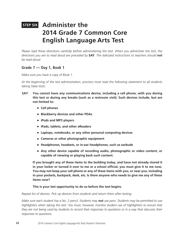# **STEP SIX Administer the 2014 Grade 7 Common Core English Language Arts Test**

Please read these directions carefully before administering the test. When you administer the test, the *directions you are to read aloud are preceded by* **SAY***. The italicized instructions to teachers should not be read aloud.*

# **Grade 7 — Day 1, Book 1**

*Make sure you have a copy of Book 1.* 

*At the beginning of the test administration, proctors must read the following statement to all students taking State tests:*

- **SAY You cannot have any communications device, including a cell phone, with you during this test or during any breaks (such as a restroom visit). Such devices include, but are not limited to:**
	- **Cell phones**
	- **Blackberry devices and other PDAs**
	- **iPods and MP3 players**
	- **iPads, tablets, and other eReaders**
	- Laptops, notebooks, or any other personal computing devices
	- **Cameras or other photographic equipment**
	- **Headphones, headsets, or in-ear headphones, such as earbuds**
	- Any other device capable of recording audio, photographic or video content, or **capable of viewing or playing back such content.**

**If you brought any of these items to the building today, and have not already stored it in your locker or turned it over to me or a school official, you must give it to me now. You may not keep your cell phone or any of these items with you, or near you, including in your pockets, backpack, desk, etc. Is there anyone who needs to give me any of these items now?**

#### **This is your last opportunity to do so before the test begins.**

#### *Repeat list of devices. Pick up devices from students and return them after testing.*

*Make sure each student has a No. 2 pencil. Students may not use pens. Students may be permitted to use highlighters when taking this test. You must, however, monitor student use of highlighters to ensure that they are not being used by students to record their responses to questions or in a way that obscures their responses to questions.*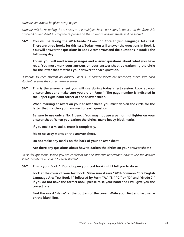*Students are not to be given scrap paper.* 

*Students will be recording the answers to the multiple-choice questions in Book 1 on the front side of their Answer Sheet 1. Only the responses on the students' answer sheets will be scored.*

**SAY You will be taking the 2014 Grade 7 Common Core English Language Arts Test. There are three books for this test. Today, you will answer the questions in Book 1. You will answer the questions in Book 2 tomorrow and the questions in Book 3 the following day.**

**Today, you will read some passages and answer questions about what you have read. You must mark your answers on your answer sheet by darkening the circle for the letter that matches your answer for each question.**

*Distribute to each student an Answer Sheet 1. If answer sheets are precoded, make sure each student receives the correct answer sheet.*

**SAY This is the answer sheet you will use during today's test session. Look at your answer sheet and make sure you are on Page 1. The page number is indicated in the upper right-hand corner of the answer sheet.**

**When marking answers on your answer sheet, you must darken the circle for the letter that matches your answer for each question.**

**Be sure to use only a No. 2 pencil. You may not use a pen or highlighter on your answer sheet. When you darken the circles, make heavy black marks.**

**If you make a mistake, erase it completely.**

**Make no stray marks on the answer sheet.**

**Do not make any marks on the back of your answer sheet.**

#### **Are there any questions about how to darken the circles on your answer sheet?**

*Pause for questions. When you are confident that all students understand how to use the answer sheet, distribute a Book 1 to each student.* 

**SAY This is your Book 1. Do not open your test book until I tell you to do so.**

**Look at the cover of your test book. Make sure it says "2014 Common Core English Language Arts Test Book 1" followed by Form "A," "B," "C," or "D" and "Grade 7." If you do not have the correct book, please raise your hand and I will give you the correct one.** 

**Find the word "Name" at the bottom of the cover. Write your first and last name on the blank line.**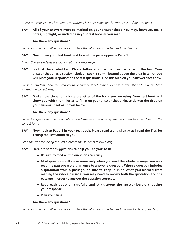*Check to make sure each student has written his or her name on the front cover of the test book.*

**SAY All of your answers must be marked on your answer sheet. You may, however, make notes, highlight, or underline in your test book as you read.** 

#### **Are there any questions?**

*Pause for questions. When you are confident that all students understand the directions,*

#### **SAY Now, open your test book and look at the page opposite Page 1.**

*Check that all students are looking at the correct page.*

**SAY Look at the shaded box. Please follow along while I read what is in the box. Your answer sheet has a section labeled "Book 1 Form" located above the area in which you will place your responses to the test questions. Find this area on your answer sheet now.**

Pause as students find the area on their answer sheet. When you are certain that all students have *located the correct area,*

**SAY Darken the circle to indicate the letter of the form you are using. Your test book will show you which form letter to fill in on your answer sheet. Please darken the circle on your answer sheet as shown below.** 

#### **Are there any questions?**

*Pause for questions, then circulate around the room and verify that each student has filled in the correct form.*

**SAY Now, look at Page 1 in your test book. Please read along silently as I read the Tips for Taking the Test aloud to you.**

*Read the Tips for Taking the Test aloud as the students follow along.*

- **SAY Here are some suggestions to help you do your best:**
	- **Be sure to read all the directions carefully.**
	- Most questions will make sense only when you read the whole passage. You may **read the passage more than once to answer a question. When a question includes a quotation from a passage, be sure to keep in mind what you learned from**  reading the whole passage. You may need to review both the quotation and the **passage in order to answer the question correctly.**
	- **Read each question carefully and think about the answer before choosing your response.**
	- **Plan your time.**

#### **Are there any questions?**

*Pause for questions. When you are confident that all students understand the Tips for Taking the Test,*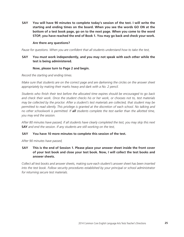**SAY You will have 90 minutes to complete today's session of the test. I will write the starting and ending times on the board. When you see the words GO ON at the bottom of a test book page, go on to the next page. When you come to the word STOP, you have reached the end of Book 1. You may go back and check your work.**

#### **Are there any questions?**

*Pause for questions. When you are confident that all students understand how to take the test,*

#### **SAY You must work independently, and you may not speak with each other while the test is being administered.**

#### **Now, please turn to Page 2 and begin.**

*Record the starting and ending times.*

*Make sure that students are on the correct page and are darkening the circles on the answer sheet appropriately by making their marks heavy and dark with a No. 2 pencil.*

*Students who finish their test before the allocated time expires should be encouraged to go back and check their work. Once the student checks his or her work, or chooses not to, test materials may be collected by the proctor. After a student's test materials are collected, that student may be permitted to read silently. This privilege is granted at the discretion of each school. No talking and no other schoolwork is permitted. If all students complete the test earlier than the allotted time, you may end the session.*

*After 80 minutes have passed, if all students have clearly completed the test, you may skip this next*  **SAY** *and end the session. If any students are still working on the test,*

#### **SAY You have 10 more minutes to complete this session of the test.**

*After 90 minutes have passed,*

**SAY This is the end of Session 1. Please place your answer sheet inside the front cover of your test book and close your test book. Now, I will collect the test books and answer sheets.**

*Collect all test books and answer sheets, making sure each student's answer sheet has been inserted into the test book. Follow security procedures established by your principal or school administrator for returning secure test materials.*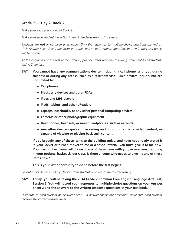# **Grade 7 — Day 2, Book 2**

*Make sure you have a copy of Book 2.* 

*Make sure each student has a No. 2 pencil. Students may not use pens.* 

*Students are not to be given scrap paper. Only the responses to multiple-choice questions marked on their Answer Sheet 2 and the answers to the constructed-response questions written in their test books will be scored.*

*At the beginning of the test administration, proctors must read the following statement to all students taking State tests:*

- **SAY You cannot have any communications device, including a cell phone, with you during this test or during any breaks (such as a restroom visit). Such devices include, but are not limited to:**
	- **Cell phones**
	- **Blackberry devices and other PDAs**
	- **iPods and MP3 players**
	- **iPads, tablets, and other eReaders**
	- Laptops, notebooks, or any other personal computing devices
	- **Cameras or other photographic equipment**
	- **Headphones, headsets, or in-ear headphones, such as earbuds**
	- Any other device capable of recording audio, photographic or video content, or **capable of viewing or playing back such content.**

**If you brought any of these items to the building today, and have not already stored it in your locker or turned it over to me or a school official, you must give it to me now. You may not keep your cell phone or any of these items with you, or near you, including in your pockets, backpack, desk, etc. Is there anyone who needs to give me any of these items now?**

**This is your last opportunity to do so before the test begins.**

*Repeat list of devices. Pick up devices from students and return them after testing.*

**SAY Today, you will be taking the 2014 Grade 7 Common Core English Language Arts Test, Session 2. You will record your responses to multiple-choice questions on your Answer Sheet 2 and the answers to the written-response questions in your test book.**

*Distribute to each student an Answer Sheet 2. If answer sheets are precoded, make sure each student receives the correct answer sheet.*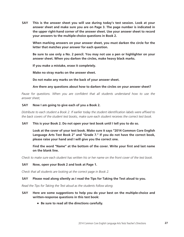**SAY This is the answer sheet you will use during today's test session. Look at your answer sheet and make sure you are on Page 3. The page number is indicated in the upper right-hand corner of the answer sheet. Use your answer sheet to record your answers to the multiple-choice questions in Book 2.** 

**When marking answers on your answer sheet, you must darken the circle for the letter that matches your answer for each question.**

**Be sure to use only a No. 2 pencil. You may not use a pen or highlighter on your answer sheet. When you darken the circles, make heavy black marks.**

**If you make a mistake, erase it completely.**

**Make no stray marks on the answer sheet.**

**Do not make any marks on the back of your answer sheet.**

**Are there any questions about how to darken the circles on your answer sheet?**

Pause for questions. When you are confident that all students understand how to use the *answer sheet,*

#### **SAY Now I am going to give each of you a Book 2.**

*Distribute to each student a Book 2. If earlier today the student identification labels were affixed to the back covers of the student test books, make sure each student receives the correct test book.* 

#### **SAY This is your Book 2. Do not open your test book until I tell you to do so.**

**Look at the cover of your test book. Make sure it says "2014 Common Core English Language Arts Test Book 2" and "Grade 7." If you do not have the correct book, please raise your hand and I will give you the correct one.** 

**Find the word "Name" at the bottom of the cover. Write your first and last name on the blank line.**

*Check to make sure each student has written his or her name on the front cover of the test book.* 

#### **SAY Now, open your Book 2 and look at Page 1.**

*Check that all students are looking at the correct page in Book 2.*

#### **SAY Please read along silently as I read the Tips for Taking the Test aloud to you.**

*Read the Tips for Taking the Test aloud as the students follow along.*

#### **SAY Here are some suggestions to help you do your best on the multiple-choice and written-response questions in this test book:**

■ **Be sure to read all the directions carefully.**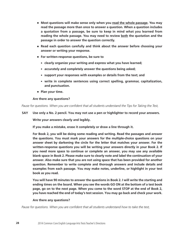- **Most questions will make sense only when you read the whole passage. You may read the passage more than once to answer a question. When a question includes a quotation from a passage, be sure to keep in mind what you learned from reading the whole passage. You may need to review both the quotation and the passage in order to answer the question correctly.**
- **Read each question carefully and think about the answer before choosing your answer or writing your response.**
- **For written-response questions, be sure to**
	- **clearly organize your writing and express what you have learned;**
	- **accurately and completely answer the questions being asked;**
	- support your responses with examples or details from the text; and
	- write in complete sentences using correct spelling, grammar, capitalization, **and punctuation.**
- **Plan your time.**

**Are there any questions?**

*Pause for questions. When you are confident that all students understand the Tips for Taking the Test,*

**SAY Use only a No. 2 pencil. You may not use a pen or highlighter to record your answers.**

**Write your answers clearly and legibly.**

**If you make a mistake, erase it completely or draw a line through it.**

**For Book 2, you will be doing some reading and writing. Read the passages and answer the questions. You must mark your answers for the multiple-choice questions on your answer sheet by darkening the circle for the letter that matches your answer. For the written-response questions you will be writing your answers directly in your Book 2. If you need more space to continue or complete an answer, you may use any available blank space in Book 2. Please make sure to clearly note and label the continuation of your answer. Also make sure that you are not using space that has been provided for another question. Remember to write complete and thorough answers and include details and examples from each passage. You may make notes, underline, or highlight in your test book as you read.**

**You will have 90 minutes to answer the questions in Book 2. I will write the starting and ending times on the board. When you see the words GO ON at the bottom of a test book page, go on to the next page. When you come to the word STOP at the end of Book 2, you have reached the end of today's test session. You may go back and check your work.** 

#### **Are there any questions?**

*Pause for questions. When you are confident that all students understand how to take the test,*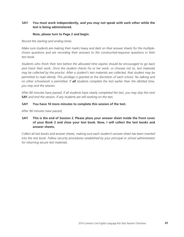#### **SAY You must work independently, and you may not speak with each other while the test is being administered.**

#### **Now, please turn to Page 2 and begin.**

*Record the starting and ending times.*

*Make sure students are making their marks heavy and dark on their answer sheets for the multiplechoice questions and are recording their answers to the constructed-response questions in their test book.*

*Students who finish their test before the allocated time expires should be encouraged to go back and check their work. Once the student checks his or her work, or chooses not to, test materials may be collected by the proctor. After a student's test materials are collected, that student may be permitted to read silently. This privilege is granted at the discretion of each school. No talking and no other schoolwork is permitted. If all students complete the test earlier than the allotted time, you may end the session.*

*After 80 minutes have passed, if all students have clearly completed the test, you may skip this next*  **SAY** *and end the session. If any students are still working on the test,*

#### **SAY You have 10 more minutes to complete this session of the test.**

*After 90 minutes have passed,*

**SAY This is the end of Session 2. Please place your answer sheet inside the front cover of your Book 2 and close your test book. Now, I will collect the test books and answer sheets.**

*Collect all test books and answer sheets, making sure each student's answer sheet has been inserted into the test book. Follow security procedures established by your principal or school administrator for returning secure test materials.*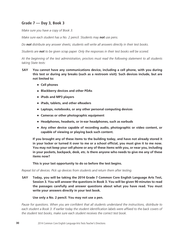# **Grade 7 — Day 3, Book 3**

*Make sure you have a copy of Book 3.* 

*Make sure each student has a No. 2 pencil. Students may not use pens.* 

*Do not distribute any answer sheets; students will write all answers directly in their test books.* 

*Students are not to be given scrap paper. Only the responses in their test books will be scored.*

*At the beginning of the test administration, proctors must read the following statement to all students taking State tests:*

- **SAY You cannot have any communications device, including a cell phone, with you during this test or during any breaks (such as a restroom visit). Such devices include, but are not limited to:**
	- **Cell phones**
	- **Blackberry devices and other PDAs**
	- **iPods and MP3 players**
	- **iPads, tablets, and other eReaders**
	- Laptops, notebooks, or any other personal computing devices
	- **Cameras or other photographic equipment**
	- **Headphones, headsets, or in-ear headphones, such as earbuds**
	- Any other device capable of recording audio, photographic or video content, or **capable of viewing or playing back such content.**

**If you brought any of these items to the building today, and have not already stored it in your locker or turned it over to me or a school official, you must give it to me now. You may not keep your cell phone or any of these items with you, or near you, including in your pockets, backpack, desk, etc. Is there anyone who needs to give me any of these items now?**

**This is your last opportunity to do so before the test begins.**

*Repeat list of devices. Pick up devices from students and return them after testing.*

**SAY Today, you will be taking the 2014 Grade 7 Common Core English Language Arts Test, Session 3. You will answer the questions in Book 3. You will be given 90 minutes to read the passages carefully and answer questions about what you have read. You must write your answers directly in your test book.** 

#### **Use only a No. 2 pencil. You may not use a pen.**

*Pause for questions. When you are confident that all students understand the instructions, distribute to each student a Book 3. If earlier today the student identification labels were affixed to the back covers of the student test books, make sure each student receives the correct test book.*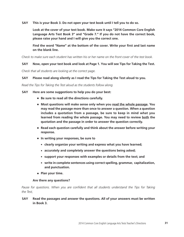**SAY This is your Book 3. Do not open your test book until I tell you to do so.**

**Look at the cover of your test book. Make sure it says "2014 Common Core English Language Arts Test Book 3" and "Grade 7." If you do not have the correct book, please raise your hand and I will give you the correct one.** 

**Find the word "Name" at the bottom of the cover. Write your first and last name on the blank line.**

*Check to make sure each student has written his or her name on the front cover of the test book.* 

#### **SAY Now, open your test book and look at Page 1. You will see Tips for Taking the Test.**

*Check that all students are looking at the correct page.* 

#### **SAY Please read along silently as I read the Tips for Taking the Test aloud to you.**

*Read the Tips for Taking the Test aloud as the students follow along.*

**SAY Here are some suggestions to help you do your best:**

- **Be sure to read all the directions carefully.**
- **Most questions will make sense only when you read the whole passage. You may read the passage more than once to answer a question. When a question includes a quotation from a passage, be sure to keep in mind what you learned from reading the whole passage. You may need to review both the quotation and the passage in order to answer the question correctly.**
- **Read each question carefully and think about the answer before writing your response.**
- **In writing your responses, be sure to**
	- clearly organize your writing and express what you have learned;
	- accurately and completely answer the questions being asked;
	- support your responses with examples or details from the text; and
	- write in complete sentences using correct spelling, grammar, capitalization, **and punctuation.**
- **Plan your time.**

#### **Are there any questions?**

Pause for questions. When you are confident that all students understand the Tips for Taking *the Test,*

**SAY Read the passages and answer the questions. All of your answers must be written in Book 3.**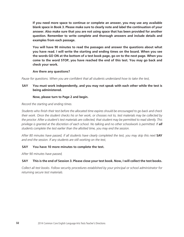**If you need more space to continue or complete an answer, you may use any available blank space in Book 3. Please make sure to clearly note and label the continuation of your answer. Also make sure that you are not using space that has been provided for another question. Remember to write complete and thorough answers and include details and examples from each passage.**

**You will have 90 minutes to read the passages and answer the questions about what you have read. I will write the starting and ending times on the board. When you see the words GO ON at the bottom of a test book page, go on to the next page. When you come to the word STOP, you have reached the end of this test. You may go back and check your work.**

**Are there any questions?**

*Pause for questions. When you are confident that all students understand how to take the test,*

#### **SAY You must work independently, and you may not speak with each other while the test is being administered.**

#### **Now, please turn to Page 2 and begin.**

*Record the starting and ending times.*

*Students who finish their test before the allocated time expires should be encouraged to go back and check their work. Once the student checks his or her work, or chooses not to, test materials may be collected by the proctor. After a student's test materials are collected, that student may be permitted to read silently. This privilege is granted at the discretion of each school. No talking and no other schoolwork is permitted. If all students complete the test earlier than the allotted time, you may end the session.* 

After 80 minutes have passed, if all students have clearly completed the test, you may skip this next **SAY** *and end the session. If any students are still working on the test,*

#### **SAY You have 10 more minutes to complete the test.**

*After 90 minutes have passed,*

#### **SAY This is the end of Session 3. Please close your test book. Now, I will collect the test books.**

*Collect all test books. Follow security procedures established by your principal or school administrator for returning secure test materials.*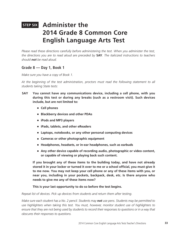# **STEP SIX Administer the 2014 Grade 8 Common Core English Language Arts Test**

*Please read these directions carefully before administering the test. When you administer the test, the directions you are to read aloud are preceded by* **SAY***. The italicized instructions to teachers should not be read aloud.*

## **Grade 8 — Day 1, Book 1**

*Make sure you have a copy of Book 1.* 

*At the beginning of the test administration, proctors must read the following statement to all students taking State tests:*

- **SAY You cannot have any communications device, including a cell phone, with you during this test or during any breaks (such as a restroom visit). Such devices include, but are not limited to:**
	- **Cell phones**
	- **Blackberry devices and other PDAs**
	- **iPods and MP3 players**
	- **iPads, tablets, and other eReaders**
	- Laptops, notebooks, or any other personal computing devices
	- **Cameras or other photographic equipment**
	- **Headphones, headsets, or in-ear headphones, such as earbuds**
	- Any other device capable of recording audio, photographic or video content, **or capable of viewing or playing back such content.**

**If you brought any of these items to the building today, and have not already stored it in your locker or turned it over to me or a school official, you must give it to me now. You may not keep your cell phone or any of these items with you, or near you, including in your pockets, backpack, desk, etc. Is there anyone who needs to give me any of these items now?**

#### **This is your last opportunity to do so before the test begins.**

*Repeat list of devices. Pick up devices from students and return them after testing.*

*Make sure each student has a No. 2 pencil. Students may not use pens. Students may be permitted to use highlighters when taking this test. You must, however, monitor student use of highlighters to ensure that they are not being used by students to record their responses to questions or in a way that obscures their responses to questions.*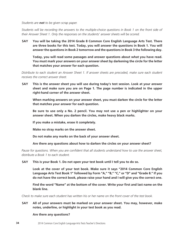*Students are not to be given scrap paper.* 

*Students will be recording the answers to the multiple-choice questions in Book 1 on the front side of their Answer Sheet 1. Only the responses on the students' answer sheets will be scored.*

**SAY You will be taking the 2014 Grade 8 Common Core English Language Arts Test. There are three books for this test. Today, you will answer the questions in Book 1. You will answer the questions in Book 2 tomorrow and the questions in Book 3 the following day.**

**Today, you will read some passages and answer questions about what you have read. You must mark your answers on your answer sheet by darkening the circle for the letter that matches your answer for each question.**

*Distribute to each student an Answer Sheet 1. If answer sheets are precoded, make sure each student receives the correct answer sheet.*

**SAY This is the answer sheet you will use during today's test session. Look at your answer sheet and make sure you are on Page 1. The page number is indicated in the upper right-hand corner of the answer sheet.**

**When marking answers on your answer sheet, you must darken the circle for the letter that matches your answer for each question.**

**Be sure to use only a No. 2 pencil. You may not use a pen or highlighter on your answer sheet. When you darken the circles, make heavy black marks.**

**If you make a mistake, erase it completely.**

**Make no stray marks on the answer sheet.**

**Do not make any marks on the back of your answer sheet.**

**Are there any questions about how to darken the circles on your answer sheet?**

*Pause for questions. When you are confident that all students understand how to use the answer sheet, distribute a Book 1 to each student.* 

#### **SAY This is your Book 1. Do not open your test book until I tell you to do so.**

**Look at the cover of your test book. Make sure it says "2014 Common Core English Language Arts Test Book 1" followed by Form "A," "B," "C," or "D" and "Grade 8." If you do not have the correct book, please raise your hand and I will give you the correct one.** 

**Find the word "Name" at the bottom of the cover. Write your first and last name on the blank line.** 

*Check to make sure each student has written his or her name on the front cover of the test book.*

**SAY All of your answers must be marked on your answer sheet. You may, however, make notes, underline, or highlight in your test book as you read.**

#### **Are there any questions?**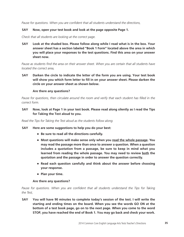*Pause for questions. When you are confident that all students understand the directions,*

#### **SAY Now, open your test book and look at the page opposite Page 1.**

*Check that all students are looking at the correct page.*

**SAY Look at the shaded box. Please follow along while I read what is in the box. Your answer sheet has a section labeled "Book 1 Form" located above the area in which you will place your responses to the test questions. Find this area on your answer sheet now.**

Pause as students find the area on their answer sheet. When you are certain that all students have *located the correct area,*

**SAY Darken the circle to indicate the letter of the form you are using. Your test book will show you which form letter to fill in on your answer sheet. Please darken the circle on your answer sheet as shown below.** 

#### **Are there any questions?**

*Pause for questions, then circulate around the room and verify that each student has filled in the correct form.*

**SAY Now, look at Page 1 in your test book. Please read along silently as I read the Tips for Taking the Test aloud to you.**

*Read the Tips for Taking the Test aloud as the students follow along.*

#### **SAY Here are some suggestions to help you do your best:**

- **Be sure to read all the directions carefully.**
- **Most questions will make sense only when you read the whole passage. You may read the passage more than once to answer a question. When a question includes a quotation from a passage, be sure to keep in mind what you learned from reading the whole passage. You may need to review both the quotation and the passage in order to answer the question correctly.**
- **Read each question carefully and think about the answer before choosing your response.**
- **Plan your time.**

#### **Are there any questions?**

Pause for questions. When you are confident that all students understand the Tips for Taking *the Test,*

**SAY You will have 90 minutes to complete today's session of the test. I will write the starting and ending times on the board. When you see the words GO ON at the bottom of a test book page, go on to the next page. When you come to the word STOP, you have reached the end of Book 1. You may go back and check your work.**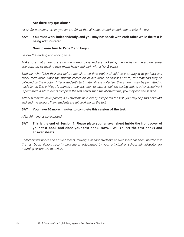#### **Are there any questions?**

*Pause for questions. When you are confident that all students understand how to take the test,*

#### **SAY You must work independently, and you may not speak with each other while the test is being administered.**

#### **Now, please turn to Page 2 and begin.**

*Record the starting and ending times.* 

*Make sure that students are on the correct page and are darkening the circles on the answer sheet appropriately by making their marks heavy and dark with a No. 2 pencil.*

*Students who finish their test before the allocated time expires should be encouraged to go back and check their work. Once the student checks his or her work, or chooses not to, test materials may be collected by the proctor. After a student's test materials are collected, that student may be permitted to read silently. This privilege is granted at the discretion of each school. No talking and no other schoolwork is permitted. If all students complete the test earlier than the allotted time, you may end the session.*

After 80 minutes have passed, if all students have clearly completed the test, you may skip this next **SAY** *and end the session. If any students are still working on the test,*

#### **SAY You have 10 more minutes to complete this session of the test.**

*After 90 minutes have passed,*

#### **SAY This is the end of Session 1. Please place your answer sheet inside the front cover of your test book and close your test book. Now, I will collect the test books and answer sheets.**

*Collect all test books and answer sheets, making sure each student's answer sheet has been inserted into the test book. Follow security procedures established by your principal or school administrator for returning secure test materials.*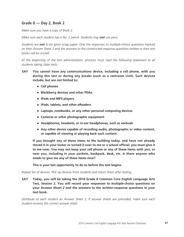# **Grade 8 — Day 2, Book 2**

*Make sure you have a copy of Book 2.* 

*Make sure each student has a No. 2 pencil. Students may not use pens.* 

*Students are not to be given scrap paper. Only the responses to multiple-choice questions marked on their Answer Sheet 2 and the answers to the constructed-response questions written in their test books will be scored.*

*At the beginning of the test administration, proctors must read the following statement to all students taking State tests:*

- **SAY You cannot have any communications device, including a cell phone, with you during this test or during any breaks (such as a restroom visit). Such devices include, but are not limited to:**
	- **Cell phones**
	- **Blackberry devices and other PDAs**
	- **iPods and MP3 players**
	- **iPads, tablets, and other eReaders**
	- Laptops, notebooks, or any other personal computing devices
	- **Cameras or other photographic equipment**
	- **Headphones, headsets, or in-ear headphones, such as earbuds**
	- Any other device capable of recording audio, photographic or video content, **or capable of viewing or playing back such content.**

**If you brought any of these items to the building today, and have not already stored it in your locker or turned it over to me or a school official, you must give it to me now. You may not keep your cell phone or any of these items with you, or near you, including in your pockets, backpack, desk, etc. Is there anyone who needs to give me any of these items now?**

**This is your last opportunity to do so before the test begins.**

*Repeat list of devices. Pick up devices from students and return them after testing.*

**SAY Today, you will be taking the 2014 Grade 8 Common Core English Language Arts Test, Session 2. You will record your responses to multiple-choice questions on your Answer Sheet 2 and the answers to the written-response questions in your test book.**

*Distribute to each student an Answer Sheet 2. If answer sheets are precoded, make sure each student receives the correct answer sheet.*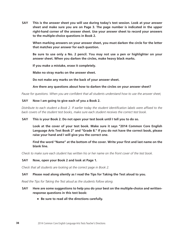**SAY This is the answer sheet you will use during today's test session. Look at your answer sheet and make sure you are on Page 3. The page number is indicated in the upper right-hand corner of the answer sheet. Use your answer sheet to record your answers to the multiple-choice questions in Book 2.** 

**When marking answers on your answer sheet, you must darken the circle for the letter that matches your answer for each question.**

**Be sure to use only a No. 2 pencil. You may not use a pen or highlighter on your answer sheet. When you darken the circles, make heavy black marks.**

**If you make a mistake, erase it completely.**

**Make no stray marks on the answer sheet.**

**Do not make any marks on the back of your answer sheet.**

**Are there any questions about how to darken the circles on your answer sheet?**

*Pause for questions. When you are confident that all students understand how to use the answer sheet,*

#### **SAY Now I am going to give each of you a Book 2.**

*Distribute to each student a Book 2. If earlier today the student identification labels were affixed to the back covers of the student test books, make sure each student receives the correct test book.* 

#### **SAY This is your Book 2. Do not open your test book until I tell you to do so.**

**Look at the cover of your test book. Make sure it says "2014 Common Core English Language Arts Test Book 2" and "Grade 8." If you do not have the correct book, please raise your hand and I will give you the correct one.** 

**Find the word "Name" at the bottom of the cover. Write your first and last name on the blank line.**

*Check to make sure each student has written his or her name on the front cover of the test book.*

#### **SAY Now, open your Book 2 and look at Page 1.**

*Check that all students are looking at the correct page in Book 2.*

#### **SAY Please read along silently as I read the Tips for Taking the Test aloud to you.**

*Read the Tips for Taking the Test aloud as the students follow along.*

#### **SAY Here are some suggestions to help you do your best on the multiple-choice and writtenresponse questions in this test book:**

■ **Be sure to read all the directions carefully.**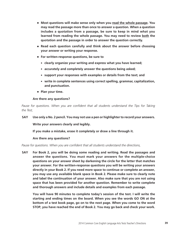- **Most questions will make sense only when you read the whole passage. You may read the passage more than once to answer a question. When a question includes a quotation from a passage, be sure to keep in mind what you learned from reading the whole passage. You may need to review both the quotation and the passage in order to answer the question correctly.**
- **Read each question carefully and think about the answer before choosing your answer or writing your response.**
- **For written-response questions, be sure to**
	- **clearly organize your writing and express what you have learned;**
	- **accurately and completely answer the questions being asked;**
	- support your responses with examples or details from the text; and
	- write in complete sentences using correct spelling, grammar, capitalization, **and punctuation.**
- **Plan your time.**

#### **Are there any questions?**

Pause for questions. When you are confident that all students understand the Tips for Taking *the Test,*

#### **SAY Use only a No. 2 pencil. You may not use a pen or highlighter to record your answers.**

**Write your answers clearly and legibly.**

**If you make a mistake, erase it completely or draw a line through it.**

#### **Are there any questions?**

*Pause for questions. When you are confident that all students understand the directions,*

**SAY For Book 2, you will be doing some reading and writing. Read the passages and answer the questions. You must mark your answers for the multiple-choice questions on your answer sheet by darkening the circle for the letter that matches your answer. For the written-response questions you will be writing your answers directly in your Book 2. If you need more space to continue or complete an answer, you may use any available blank space in Book 2. Please make sure to clearly note and label the continuation of your answer. Also make sure that you are not using space that has been provided for another question. Remember to write complete and thorough answers and include details and examples from each passage.**

**You will have 90 minutes to complete today's session of the test. I will write the starting and ending times on the board. When you see the words GO ON at the bottom of a test book page, go on to the next page. When you come to the word STOP, you have reached the end of Book 2. You may go back and check your work.**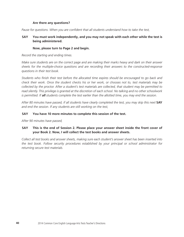#### **Are there any questions?**

*Pause for questions. When you are confident that all students understand how to take the test,* 

#### **SAY You must work independently, and you may not speak with each other while the test is being administered.**

#### **Now, please turn to Page 2 and begin.**

*Record the starting and ending times.*

*Make sure students are on the correct page and are making their marks heavy and dark on their answer sheets for the multiple-choice questions and are recording their answers to the constructed-response questions in their test book.*

*Students who finish their test before the allocated time expires should be encouraged to go back and check their work. Once the student checks his or her work, or chooses not to, test materials may be collected by the proctor. After a student's test materials are collected, that student may be permitted to read silently. This privilege is granted at the discretion of each school. No talking and no other schoolwork is permitted. If all students complete the test earlier than the allotted time, you may end the session.*

After 80 minutes have passed, if all students have clearly completed the test, you may skip this next **SAY** *and end the session. If any students are still working on the test,* 

#### **SAY You have 10 more minutes to complete this session of the test.**

*After 90 minutes have passed,*

#### **SAY This is the end of Session 2. Please place your answer sheet inside the front cover of your Book 2. Now, I will collect the test books and answer sheets.**

*Collect all test books and answer sheets, making sure each student's answer sheet has been inserted into the test book. Follow security procedures established by your principal or school administrator for returning secure test materials.*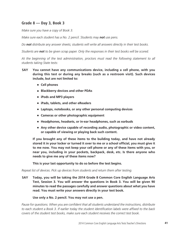# **Grade 8 — Day 3, Book 3**

*Make sure you have a copy of Book 3.* 

*Make sure each student has a No. 2 pencil. Students may not use pens.* 

*Do not distribute any answer sheets; students will write all answers directly in their test books.* 

*Students are not to be given scrap paper. Only the responses in their test books will be scored.*

*At the beginning of the test administration, proctors must read the following statement to all students taking State tests:*

- **SAY You cannot have any communications device, including a cell phone, with you during this test or during any breaks (such as a restroom visit). Such devices include, but are not limited to:**
	- **Cell phones**
	- **Blackberry devices and other PDAs**
	- **iPods and MP3 players**
	- **iPads, tablets, and other eReaders**
	- Laptops, notebooks, or any other personal computing devices
	- **Cameras or other photographic equipment**
	- **Headphones, headsets, or in-ear headphones, such as earbuds**
	- Any other device capable of recording audio, photographic or video content, **or capable of viewing or playing back such content.**

**If you brought any of these items to the building today, and have not already stored it in your locker or turned it over to me or a school official, you must give it to me now. You may not keep your cell phone or any of these items with you, or near you, including in your pockets, backpack, desk, etc. Is there anyone who needs to give me any of these items now?**

**This is your last opportunity to do so before the test begins.**

*Repeat list of devices. Pick up devices from students and return them after testing.*

**SAY Today, you will be taking the 2014 Grade 8 Common Core English Language Arts Test, Session 3. You will answer the questions in Book 3. You will be given 90 minutes to read the passages carefully and answer questions about what you have read. You must write your answers directly in your test book.** 

#### **Use only a No. 2 pencil. You may not use a pen.**

*Pause for questions. When you are confident that all students understand the instructions, distribute to each student a Book 3. If earlier today the student identification labels were affixed to the back covers of the student test books, make sure each student receives the correct test book.*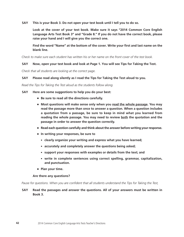**SAY This is your Book 3. Do not open your test book until I tell you to do so.**

**Look at the cover of your test book. Make sure it says "2014 Common Core English Language Arts Test Book 3" and "Grade 8." If you do not have the correct book, please raise your hand and I will give you the correct one.** 

**Find the word "Name" at the bottom of the cover. Write your first and last name on the blank line.**

*Check to make sure each student has written his or her name on the front cover of the test book.* 

#### **SAY Now, open your test book and look at Page 1. You will see Tips for Taking the Test.**

*Check that all students are looking at the correct page.* 

#### **SAY Please read along silently as I read the Tips for Taking the Test aloud to you.**

*Read the Tips for Taking the Test aloud as the students follow along.*

**SAY Here are some suggestions to help you do your best:**

- **Be sure to read all the directions carefully.**
- **Most questions will make sense only when you read the whole passage. You may read the passage more than once to answer a question. When a question includes a quotation from a passage, be sure to keep in mind what you learned from reading the whole passage. You may need to review both the quotation and the passage in order to answer the question correctly.**
- **Read each question carefully and think about the answer before writing your response.**
- **In writing your responses, be sure to**
	- **clearly organize your writing and express what you have learned;**
	- **accurately and completely answer the questions being asked;**
	- support your responses with examples or details from the text; and
	- write in complete sentences using correct spelling, grammar, capitalization, **and punctuation.**
- **Plan your time.**

#### **Are there any questions?**

*Pause for questions. When you are confident that all students understand the Tips for Taking the Test,*

#### **SAY Read the passages and answer the questions. All of your answers must be written in Book 3.**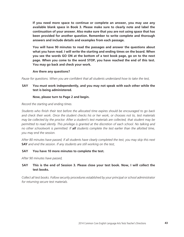**If you need more space to continue or complete an answer, you may use any available blank space in Book 3. Please make sure to clearly note and label the continuation of your answer. Also make sure that you are not using space that has been provided for another question. Remember to write complete and thorough answers and include details and examples from each passage.**

**You will have 90 minutes to read the passages and answer the questions about what you have read. I will write the starting and ending times on the board. When you see the words GO ON at the bottom of a test book page, go on to the next page. When you come to the word STOP, you have reached the end of this test. You may go back and check your work.**

**Are there any questions?**

*Pause for questions. When you are confident that all students understand how to take the test,*

#### **SAY You must work independently, and you may not speak with each other while the test is being administered.**

#### **Now, please turn to Page 2 and begin.**

*Record the starting and ending times.*

*Students who finish their test before the allocated time expires should be encouraged to go back and check their work. Once the student checks his or her work, or chooses not to, test materials may be collected by the proctor. After a student's test materials are collected, that student may be permitted to read silently. This privilege is granted at the discretion of each school. No talking and no other schoolwork is permitted. If all students complete the test earlier than the allotted time, you may end the session.*

*After 80 minutes have passed, if all students have clearly completed the test, you may skip this next*  **SAY** *and end the session. If any students are still working on the test,*

#### **SAY You have 10 more minutes to complete the test.**

*After 90 minutes have passed,*

#### **SAY This is the end of Session 3. Please close your test book. Now, I will collect the test books.**

*Collect all test books. Follow security procedures established by your principal or school administrator for returning secure test materials.*